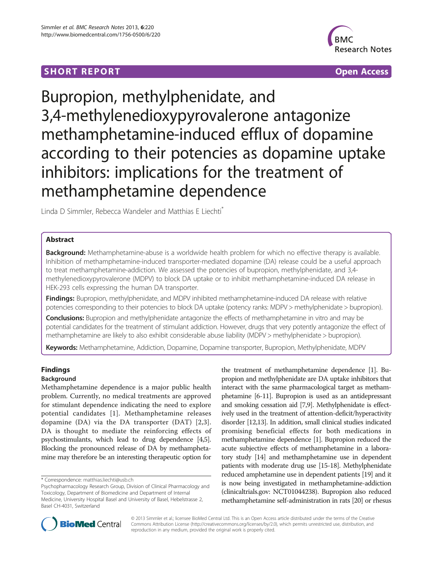# **SHORT REPORT SHORT CONSUMING THE SHORT CONSUMING THE SHORT CONSUMING THE SHORT CONSUMING THE SHORT CONSUMING THE SHORT CONSUMING THE SHORT CONSUMING THE SHORT CONSUMING THE SHORT CONSUMING THE SHORT CONSUMING THE SHORT**



# Bupropion, methylphenidate, and 3,4-methylenedioxypyrovalerone antagonize methamphetamine-induced efflux of dopamine according to their potencies as dopamine uptake inhibitors: implications for the treatment of methamphetamine dependence

Linda D Simmler, Rebecca Wandeler and Matthias E Liechti<sup>®</sup>

# Abstract

Background: Methamphetamine-abuse is a worldwide health problem for which no effective therapy is available. Inhibition of methamphetamine-induced transporter-mediated dopamine (DA) release could be a useful approach to treat methamphetamine-addiction. We assessed the potencies of bupropion, methylphenidate, and 3,4 methylenedioxypyrovalerone (MDPV) to block DA uptake or to inhibit methamphetamine-induced DA release in HEK-293 cells expressing the human DA transporter.

Findings: Bupropion, methylphenidate, and MDPV inhibited methamphetamine-induced DA release with relative potencies corresponding to their potencies to block DA uptake (potency ranks: MDPV > methylphenidate > bupropion).

Conclusions: Bupropion and methylphenidate antagonize the effects of methamphetamine in vitro and may be potential candidates for the treatment of stimulant addiction. However, drugs that very potently antagonize the effect of methamphetamine are likely to also exhibit considerable abuse liability (MDPV > methylphenidate > bupropion).

Keywords: Methamphetamine, Addiction, Dopamine, Dopamine transporter, Bupropion, Methylphenidate, MDPV

# Findings

# Background

Methamphetamine dependence is a major public health problem. Currently, no medical treatments are approved for stimulant dependence indicating the need to explore potential candidates [[1\]](#page-3-0). Methamphetamine releases dopamine (DA) via the DA transporter (DAT) [[2,3](#page-3-0)]. DA is thought to mediate the reinforcing effects of psychostimulants, which lead to drug dependence [\[4,5](#page-3-0)]. Blocking the pronounced release of DA by methamphetamine may therefore be an interesting therapeutic option for

the treatment of methamphetamine dependence [\[1\]](#page-3-0). Bupropion and methylphenidate are DA uptake inhibitors that interact with the same pharmacological target as methamphetamine [\[6-11\]](#page-3-0). Bupropion is used as an antidepressant and smoking cessation aid [[7,9](#page-3-0)]. Methylphenidate is effectively used in the treatment of attention-deficit/hyperactivity disorder [[12,13\]](#page-3-0). In addition, small clinical studies indicated promising beneficial effects for both medications in methamphetamine dependence [\[1\]](#page-3-0). Bupropion reduced the acute subjective effects of methamphetamine in a laboratory study [\[14\]](#page-3-0) and methamphetamine use in dependent patients with moderate drug use [\[15-18\]](#page-3-0). Methylphenidate reduced amphetamine use in dependent patients [\[19](#page-3-0)] and it is now being investigated in methamphetamine-addiction (clinicaltrials.gov: [NCT01044238\)](http://www.clinicaltrials.gov/ct2/show/NCT01044238). Bupropion also reduced methamphetamine self-administration in rats [\[20\]](#page-3-0) or rhesus



© 2013 Simmler et al.; licensee BioMed Central Ltd. This is an Open Access article distributed under the terms of the Creative Commons Attribution License [\(http://creativecommons.org/licenses/by/2.0\)](http://creativecommons.org/licenses/by/2.0), which permits unrestricted use, distribution, and reproduction in any medium, provided the original work is properly cited.

<sup>\*</sup> Correspondence: [matthias.liechti@usb.ch](mailto:matthias.liechti@usb.ch)

Psychopharmacology Research Group, Division of Clinical Pharmacology and Toxicology, Department of Biomedicine and Department of Internal Medicine, University Hospital Basel and University of Basel, Hebelstrasse 2, Basel CH-4031, Switzerland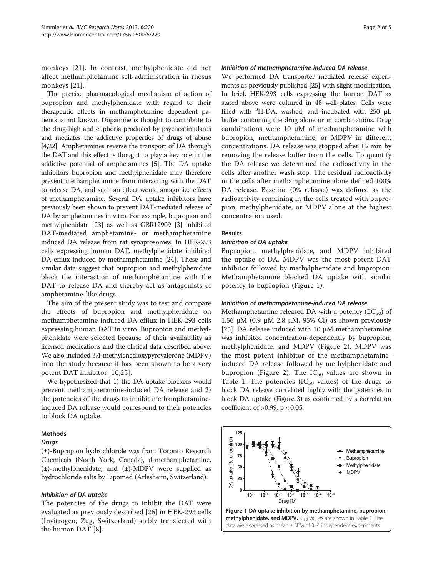monkeys [[21](#page-3-0)]. In contrast, methylphenidate did not affect methamphetamine self-administration in rhesus monkeys [\[21](#page-3-0)].

The precise pharmacological mechanism of action of bupropion and methylphenidate with regard to their therapeutic effects in methamphetamine dependent patients is not known. Dopamine is thought to contribute to the drug-high and euphoria produced by psychostimulants and mediates the addictive properties of drugs of abuse [[4](#page-3-0)[,22\]](#page-4-0). Amphetamines reverse the transport of DA through the DAT and this effect is thought to play a key role in the addictive potential of amphetamines [[5](#page-3-0)]. The DA uptake inhibitors bupropion and methylphenidate may therefore prevent methamphetamine from interacting with the DAT to release DA, and such an effect would antagonize effects of methamphetamine. Several DA uptake inhibitors have previously been shown to prevent DAT-mediated release of DA by amphetamines in vitro. For example, bupropion and methylphenidate [[23](#page-4-0)] as well as GBR12909 [\[3\]](#page-3-0) inhibited DAT-mediated amphetamine- or methamphetamine induced DA release from rat synaptosomes. In HEK-293 cells expressing human DAT, methylphenidate inhibited DA efflux induced by methamphetamine [\[24\]](#page-4-0). These and similar data suggest that bupropion and methylphenidate block the interaction of methamphetamine with the DAT to release DA and thereby act as antagonists of amphetamine-like drugs.

The aim of the present study was to test and compare the effects of bupropion and methylphenidate on methamphetamine-induced DA efflux in HEK-293 cells expressing human DAT in vitro. Bupropion and methylphenidate were selected because of their availability as licensed medications and the clinical data described above. We also included 3,4-methylenedioxypyrovalerone (MDPV) into the study because it has been shown to be a very potent DAT inhibitor [\[10,](#page-3-0)[25](#page-4-0)].

We hypothesized that 1) the DA uptake blockers would prevent methamphetamine-induced DA release and 2) the potencies of the drugs to inhibit methamphetamineinduced DA release would correspond to their potencies to block DA uptake.

#### Methods

#### Drugs

(±)-Bupropion hydrochloride was from Toronto Research Chemicals (North York, Canada), d-methamphetamine, (±)-methylphenidate, and (±)-MDPV were supplied as hydrochloride salts by Lipomed (Arlesheim, Switzerland).

## Inhibition of DA uptake

The potencies of the drugs to inhibit the DAT were evaluated as previously described [\[26\]](#page-4-0) in HEK-293 cells (Invitrogen, Zug, Switzerland) stably transfected with the human DAT [[8\]](#page-3-0).

#### Inhibition of methamphetamine-induced DA release

We performed DA transporter mediated release experiments as previously published [\[25\]](#page-4-0) with slight modification. In brief, HEK-293 cells expressing the human DAT as stated above were cultured in 48 well-plates. Cells were filled with  ${}^{3}$ H-DA, washed, and incubated with 250  $\mu$ L buffer containing the drug alone or in combinations. Drug combinations were 10 μM of methamphetamine with bupropion, methamphetamine, or MDPV in different concentrations. DA release was stopped after 15 min by removing the release buffer from the cells. To quantify the DA release we determined the radioactivity in the cells after another wash step. The residual radioactivity in the cells after methamphetamine alone defined 100% DA release. Baseline (0% release) was defined as the radioactivity remaining in the cells treated with bupropion, methylphenidate, or MDPV alone at the highest concentration used.

### Results

#### Inhibition of DA uptake

Bupropion, methylphenidate, and MDPV inhibited the uptake of DA. MDPV was the most potent DAT inhibitor followed by methylphenidate and bupropion. Methamphetamine blocked DA uptake with similar potency to bupropion (Figure 1).

#### Inhibition of methamphetamine-induced DA release

Methamphetamine released DA with a potency ( $EC_{50}$ ) of 1.56 μM (0.9 μM-2.8 μM, 95% CI) as shown previously [[25\]](#page-4-0). DA release induced with 10  $\mu$ M methamphetamine was inhibited concentration-dependently by bupropion, methylphenidate, and MDPV (Figure [2](#page-2-0)). MDPV was the most potent inhibitor of the methamphetamineinduced DA release followed by methylphenidate and bupropion (Figure [2](#page-2-0)). The  $IC_{50}$  values are shown in Table [1](#page-2-0). The potencies (IC<sub>50</sub> values) of the drugs to block DA release correlated highly with the potencies to block DA uptake (Figure [3](#page-2-0)) as confirmed by a correlation coefficient of  $>0.99$ ,  $p < 0.05$ .

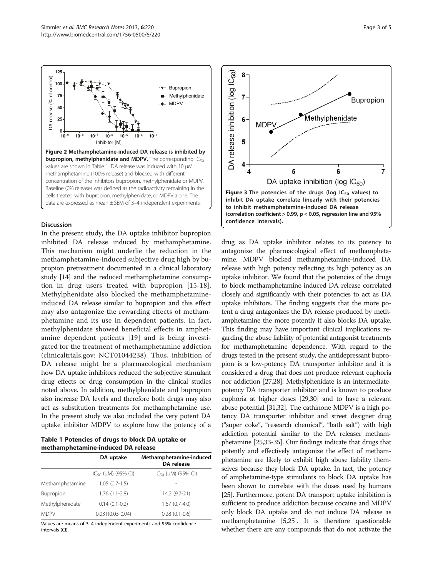<span id="page-2-0"></span>

### Discussion

In the present study, the DA uptake inhibitor bupropion inhibited DA release induced by methamphetamine. This mechanism might underlie the reduction in the methamphetamine-induced subjective drug high by bupropion pretreatment documented in a clinical laboratory study [\[14](#page-3-0)] and the reduced methamphetamine consumption in drug users treated with bupropion [[15](#page-3-0)-[18](#page-3-0)]. Methylphenidate also blocked the methamphetamineinduced DA release similar to bupropion and this effect may also antagonize the rewarding effects of methamphetamine and its use in dependent patients. In fact, methylphenidate showed beneficial effects in amphetamine dependent patients [[19\]](#page-3-0) and is being investigated for the treatment of methamphetamine addiction (clinicaltrials.gov: [NCT01044238\)](http://www.clinicaltrials.gov/ct2/show/NCT01044238). Thus, inhibition of DA release might be a pharmacological mechanism how DA uptake inhibitors reduced the subjective stimulant drug effects or drug consumption in the clinical studies noted above. In addition, methylphenidate and bupropion also increase DA levels and therefore both drugs may also act as substitution treatments for methamphetamine use. In the present study we also included the very potent DA uptake inhibitor MDPV to explore how the potency of a

Table 1 Potencies of drugs to block DA uptake or methamphetamine-induced DA release

|                 | DA uptake                   | Methamphetamine-induced<br>DA release |
|-----------------|-----------------------------|---------------------------------------|
|                 | $IC_{50}$ ( $µM$ ) (95% CI) | $IC_{50}$ ( $µM$ ) (95% CI)           |
| Methamphetamine | $1.05(0.7-1.5)$             |                                       |
| Bupropion       | $1.76(1.1-2.8)$             | 14.2 (9.7-21)                         |
| Methylphenidate | $0.14(0.1-0.2)$             | $1.67(0.7-4.0)$                       |
| <b>MDPV</b>     | $0.031(0.03 - 0.04)$        | $0.28(0.1-0.6)$                       |

Values are means of 3–4 independent experiments and 95% confidence intervals (CI).



drug as DA uptake inhibitor relates to its potency to antagonize the pharmacological effect of methamphetamine. MDPV blocked methamphetamine-induced DA release with high potency reflecting its high potency as an uptake inhibitor. We found that the potencies of the drugs to block methamphetamine-induced DA release correlated closely and significantly with their potencies to act as DA uptake inhibitors. The finding suggests that the more potent a drug antagonizes the DA release produced by methamphetamine the more potently it also blocks DA uptake. This finding may have important clinical implications regarding the abuse liability of potential antagonist treatments for methamphetamine dependence. With regard to the drugs tested in the present study, the antidepressant bupropion is a low-potency DA transporter inhibitor and it is considered a drug that does not produce relevant euphoria nor addiction [[27,28](#page-4-0)]. Methylphenidate is an intermediatepotency DA transporter inhibitor and is known to produce euphoria at higher doses [\[29,30\]](#page-4-0) and to have a relevant abuse potential [[31,32\]](#page-4-0). The cathinone MDPV is a high potency DA transporter inhibitor and street designer drug ("super coke", "research chemical", "bath salt") with high addiction potential similar to the DA releaser methamphetamine [\[25,33-35\]](#page-4-0). Our findings indicate that drugs that potently and effectively antagonize the effect of methamphetamine are likely to exhibit high abuse liability themselves because they block DA uptake. In fact, the potency of amphetamine-type stimulants to block DA uptake has been shown to correlate with the doses used by humans [[25](#page-4-0)]. Furthermore, potent DA transport uptake inhibition is sufficient to produce addiction because cocaine and MDPV only block DA uptake and do not induce DA release as methamphetamine [\[5](#page-3-0)[,25\]](#page-4-0). It is therefore questionable whether there are any compounds that do not activate the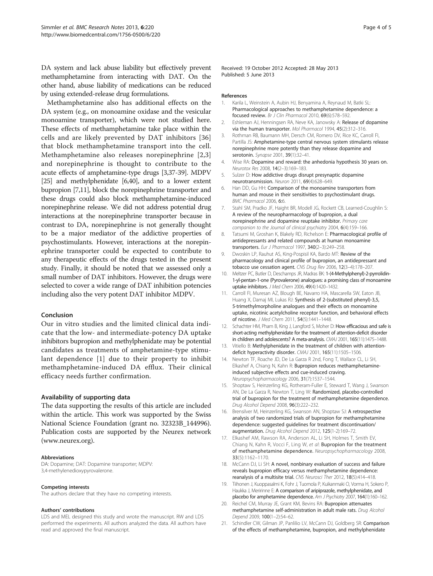<span id="page-3-0"></span>DA system and lack abuse liability but effectively prevent methamphetamine from interacting with DAT. On the other hand, abuse liability of medications can be reduced by using extended-release drug formulations.

Methamphetamine also has additional effects on the DA system (e.g., on monoamine oxidase and the vesicular monoamine transporter), which were not studied here. These effects of methamphetamine take place within the cells and are likely prevented by DAT inhibitors [[36](#page-4-0)] that block methamphetamine transport into the cell. Methamphetamine also releases norepinephrine [2,3] and norepinephrine is thought to contribute to the acute effects of amphetamine-type drugs [3,[37](#page-4-0)-[39](#page-4-0)]. MDPV [[25](#page-4-0)] and methylphenidate [6[,40\]](#page-4-0), and to a lower extent bupropion [7,11], block the norepinephrine transporter and these drugs could also block methamphetamine-induced norepinephrine release. We did not address potential drug interactions at the norepinephrine transporter because in contrast to DA, norepinephrine is not generally thought to be a major mediator of the addictive properties of psychostimulants. However, interactions at the norepinephrine transporter could be expected to contribute to any therapeutic effects of the drugs tested in the present study. Finally, it should be noted that we assessed only a small number of DAT inhibitors. However, the drugs were selected to cover a wide range of DAT inhibition potencies including also the very potent DAT inhibitor MDPV.

#### Conclusion

Our in vitro studies and the limited clinical data indicate that the low- and intermediate-potency DA uptake inhibitors bupropion and methylphenidate may be potential candidates as treatments of amphetamine-type stimulant dependence [1] due to their property to inhibit methamphetamine-induced DA efflux. Their clinical efficacy needs further confirmation.

#### Availability of supporting data

The data supporting the results of this article are included within the article. This work was supported by the Swiss National Science Foundation (grant no. 32323B\_144996). Publication costs are supported by the Neurex network ([www.neurex.org\)](http://www.neurex.org).

#### Abbreviations

DA: Dopamine; DAT: Dopamine transporter; MDPV: 3,4-methylenedioxypyrovalerone.

#### Competing interests

The authors declare that they have no competing interests.

#### Authors' contributions

LDS and MEL designed this study and wrote the manuscript. RW and LDS performed the experiments. All authors analyzed the data. All authors have read and approved the final manuscript.

Received: 19 October 2012 Accepted: 28 May 2013 Published: 5 June 2013

#### References

- 1. Karila L, Weinstein A, Aubin HJ, Benyamina A, Reynaud M, Batki SL: Pharmacological approaches to methamphetamine dependence: a focused review. Br J Clin Pharmacol 2010, 69(6):578–592.
- 2. Eshleman AJ, Henningsen RA, Neve KA, Janowsky A: Release of dopamine via the human transporter. Mol Pharmacol 1994, 45(2):312–316.
- 3. Rothman RB, Baumann MH, Dersch CM, Romero DV, Rice KC, Carroll FI, Partilla JS: Amphetamine-type central nervous system stimulants release norepinephrine more potently than they release dopamine and serotonin. Synapse 2001, 39(1):32-41.
- 4. Wise RA: Dopamine and reward: the anhedonia hypothesis 30 years on. Neurotox Res 2008, 14(2-3):169-183.
- 5. Sulzer D: How addictive drugs disrupt presynaptic dopamine neurotransmission. Neuron 2011, 69(4):628–649.
- 6. Han DD, Gu HH: Comparison of the monoamine transporters from human and mouse in their sensitivities to psychostimulant drugs. BMC Pharmacol 2006, 6:6.
- 7. Stahl SM, Pradko JF, Haight BR, Modell JG, Rockett CB, Learned-Coughlin S: A review of the neuropharmacology of bupropion, a dual norepinephrine and dopamine reuptake inhibitor. Primary care companion to the Journal of clinical psychiatry 2004, 6(4):159–166.
- 8. Tatsumi M, Groshan K, Blakely RD, Richelson E: Pharmacological profile of antidepressants and related compounds at human monoamine transporters. Eur J Pharmacol 1997, 340(2–3):249–258.
- 9. Dwoskin LP, Rauhut AS, King-Pospisil KA, Bardo MT: Review of the pharmacology and clinical profile of bupropion, an antidepressant and tobacco use cessation agent. CNS Drug Rev 2006, 12(3–4):178–207.
- 10. Meltzer PC, Butler D, Deschamps JR, Madras BK: 1-(4-Methylphenyl)-2-pyrrolidin-1-yl-pentan-1-one (Pyrovalerone) analogues: a promising class of monoamine uptake inhibitors. J Med Chem 2006, 49(4):1420–1432.
- 11. Carroll FI, Muresan AZ, Blough BE, Navarro HA, Mascarella SW, Eaton JB, Huang X, Damaj MI, Lukas RJ: Synthesis of 2-(substituted phenyl)-3,5, 5-trimethylmorpholine analogues and their effects on monoamine uptake, nicotinic acetylcholine receptor function, and behavioral effects of nicotine. J Med Chem 2011, 54(5):1441–1448.
- 12. Schachter HM, Pham B, King J, Langford S, Moher D: How efficacious and safe is short-acting methylphenidate for the treatment of attention-deficit disorder in children and adolescents? A meta-analysis. CMAJ 2001, 165(11):1475–1488.
- 13. Vitiello B: Methylphenidate in the treatment of children with attentiondeficit hyperactivity disorder. CMAJ 2001, 165(11):1505–1506.
- 14. Newton TF, Roache JD, De La Garza R 2nd, Fong T, Wallace CL, Li SH, Elkashef A, Chiang N, Kahn R: Bupropion reduces methamphetamineinduced subjective effects and cue-induced craving. Neuropsychopharmacology 2006, 31(7):1537–1544.
- 15. Shoptaw S, Heinzerling KG, Rotheram-Fuller E, Steward T, Wang J, Swanson AN, De La Garza R, Newton T, Ling W: Randomized, placebo-controlled trial of bupropion for the treatment of methamphetamine dependence. Drug Alcohol Depend 2008, 96(3):222–232.
- 16. Brensilver M, Heinzerling KG, Swanson AN, Shoptaw SJ: A retrospective analysis of two randomized trials of bupropion for methamphetamine dependence: suggested guidelines for treatment discontinuation/ augmentation. Drug Alcohol Depend 2012, 125(1-2):169–72.
- 17. Elkashef AM, Rawson RA, Anderson AL, Li SH, Holmes T, Smith EV, Chiang N, Kahn R, Vocci F, Ling W, et al: Bupropion for the treatment of methamphetamine dependence. Neuropsychopharmacology 2008, 33(5):1162–1170.
- 18. McCann DJ, Li SH: A novel, nonbinary evaluation of success and failure reveals bupropion efficacy versus methamphetamine dependence: reanalysis of a multisite trial. CNS Neurosci Ther 2012, 18(5):414–418.
- 19. Tiihonen J, Kuoppasalmi K, Fohr J, Tuomola P, Kuikanmaki O, Vorma H, Sokero P, Haukka J, Meririnne E: A comparison of aripiprazole, methylphenidate, and placebo for amphetamine dependence. Am J Psychiatry 2007, 164(1):160-162.
- 20. Reichel CM, Murray JF, Grant KM, Bevins RA: Bupropion attenuates methamphetamine self-administration in adult male rats. Drug Alcohol Depend 2009, 100(1–2):54–62.
- 21. Schindler CW, Gilman JP, Panlilio LV, McCann DJ, Goldberg SR: Comparison of the effects of methamphetamine, bupropion, and methylphenidate